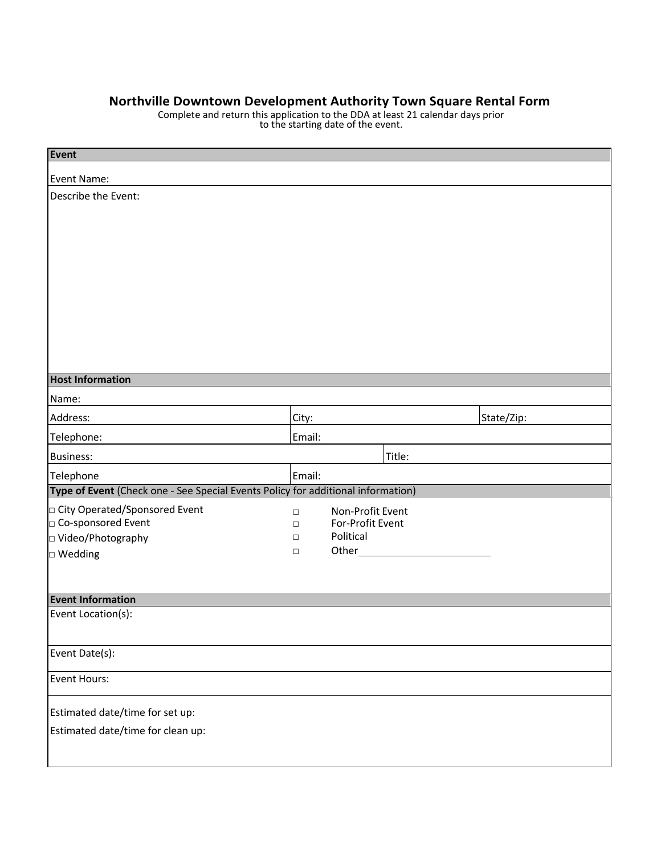## **Northville Downtown Development Authority Town Square Rental Form**

Complete and return this application to the DDA at least 21 calendar days prior to the starting date of the event.

| Event                                                                            |                  |                               |            |
|----------------------------------------------------------------------------------|------------------|-------------------------------|------------|
| Event Name:                                                                      |                  |                               |            |
| Describe the Event:                                                              |                  |                               |            |
|                                                                                  |                  |                               |            |
|                                                                                  |                  |                               |            |
|                                                                                  |                  |                               |            |
|                                                                                  |                  |                               |            |
|                                                                                  |                  |                               |            |
|                                                                                  |                  |                               |            |
|                                                                                  |                  |                               |            |
|                                                                                  |                  |                               |            |
|                                                                                  |                  |                               |            |
| <b>Host Information</b>                                                          |                  |                               |            |
| Name:                                                                            |                  |                               |            |
| Address:                                                                         | City:            |                               | State/Zip: |
| Telephone:                                                                       | Email:           |                               |            |
| <b>Business:</b>                                                                 |                  | Title:                        |            |
| Telephone                                                                        | Email:           |                               |            |
| Type of Event (Check one - See Special Events Policy for additional information) |                  |                               |            |
| □ City Operated/Sponsored Event                                                  | $\Box$           | Non-Profit Event              |            |
| Co-sponsored Event<br>□ Video/Photography                                        | $\Box$<br>$\Box$ | For-Profit Event<br>Political |            |
| $\Box$ Wedding                                                                   | $\Box$           | Other_                        |            |
|                                                                                  |                  |                               |            |
|                                                                                  |                  |                               |            |
| <b>Event Information</b>                                                         |                  |                               |            |
| Event Location(s):                                                               |                  |                               |            |
|                                                                                  |                  |                               |            |
| Event Date(s):                                                                   |                  |                               |            |
| <b>Event Hours:</b>                                                              |                  |                               |            |
| Estimated date/time for set up:                                                  |                  |                               |            |
| Estimated date/time for clean up:                                                |                  |                               |            |
|                                                                                  |                  |                               |            |
|                                                                                  |                  |                               |            |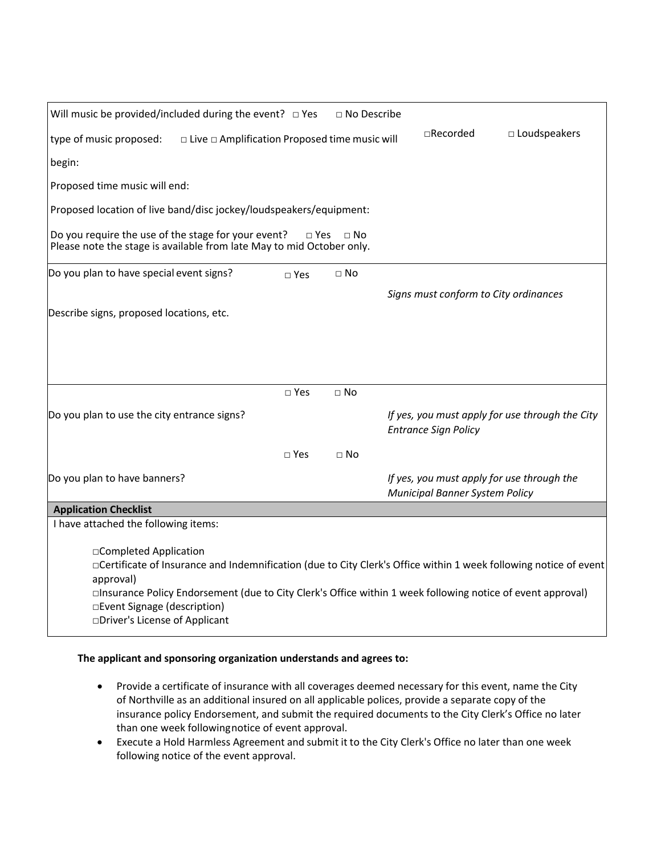| Will music be provided/included during the event? $\Box$ Yes                                                                 |               | $\Box$ No Describe |                                                                                                                                                                                                                                  |
|------------------------------------------------------------------------------------------------------------------------------|---------------|--------------------|----------------------------------------------------------------------------------------------------------------------------------------------------------------------------------------------------------------------------------|
| type of music proposed:<br>$\Box$ Live $\Box$ Amplification Proposed time music will                                         |               |                    | $\Box$ Recorded<br>$\square$ Loudspeakers                                                                                                                                                                                        |
| begin:                                                                                                                       |               |                    |                                                                                                                                                                                                                                  |
| Proposed time music will end:                                                                                                |               |                    |                                                                                                                                                                                                                                  |
| Proposed location of live band/disc jockey/loudspeakers/equipment:                                                           |               |                    |                                                                                                                                                                                                                                  |
| Do you require the use of the stage for your event?<br>Please note the stage is available from late May to mid October only. | $\square$ Yes | $\Box$ No          |                                                                                                                                                                                                                                  |
| Do you plan to have special event signs?                                                                                     | $\square$ Yes | $\Box$ No          |                                                                                                                                                                                                                                  |
|                                                                                                                              |               |                    | Signs must conform to City ordinances                                                                                                                                                                                            |
| Describe signs, proposed locations, etc.                                                                                     |               |                    |                                                                                                                                                                                                                                  |
|                                                                                                                              |               |                    |                                                                                                                                                                                                                                  |
|                                                                                                                              |               |                    |                                                                                                                                                                                                                                  |
|                                                                                                                              | $\sqcap$ Yes  | $\Box$ No          |                                                                                                                                                                                                                                  |
| Do you plan to use the city entrance signs?                                                                                  |               |                    | If yes, you must apply for use through the City<br><b>Entrance Sign Policy</b>                                                                                                                                                   |
|                                                                                                                              | $\sqcap$ Yes  | $\sqcap$ No        |                                                                                                                                                                                                                                  |
| Do you plan to have banners?                                                                                                 |               |                    | If yes, you must apply for use through the<br>Municipal Banner System Policy                                                                                                                                                     |
| <b>Application Checklist</b>                                                                                                 |               |                    |                                                                                                                                                                                                                                  |
| I have attached the following items:                                                                                         |               |                    |                                                                                                                                                                                                                                  |
| □Completed Application<br>approval)<br>□Event Signage (description)<br>□Driver's License of Applicant                        |               |                    | □Certificate of Insurance and Indemnification (due to City Clerk's Office within 1 week following notice of event<br>□Insurance Policy Endorsement (due to City Clerk's Office within 1 week following notice of event approval) |

## **The applicant and sponsoring organization understands and agrees to:**

- Provide a certificate of insurance with all coverages deemed necessary for this event, name the City of Northville as an additional insured on all applicable polices, provide a separate copy of the insurance policy Endorsement, and submit the required documents to the City Clerk's Office no later than one week followingnotice of event approval.
- Execute a Hold Harmless Agreement and submit it to the City Clerk's Office no later than one week following notice of the event approval.